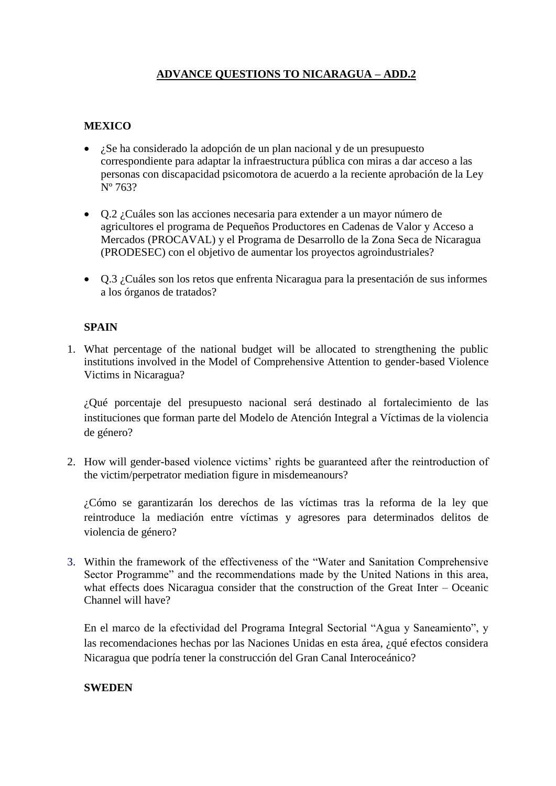## **ADVANCE QUESTIONS TO NICARAGUA – ADD.2**

## **MEXICO**

- ¿Se ha considerado la adopción de un plan nacional y de un presupuesto correspondiente para adaptar la infraestructura pública con miras a dar acceso a las personas con discapacidad psicomotora de acuerdo a la reciente aprobación de la Ley Nº 763?
- Q.2 ¿Cuáles son las acciones necesaria para extender a un mayor número de agricultores el programa de Pequeños Productores en Cadenas de Valor y Acceso a Mercados (PROCAVAL) y el Programa de Desarrollo de la Zona Seca de Nicaragua (PRODESEC) con el objetivo de aumentar los proyectos agroindustriales?
- Q.3 ¿Cuáles son los retos que enfrenta Nicaragua para la presentación de sus informes a los órganos de tratados?

## **SPAIN**

1. What percentage of the national budget will be allocated to strengthening the public institutions involved in the Model of Comprehensive Attention to gender-based Violence Victims in Nicaragua?

¿Qué porcentaje del presupuesto nacional será destinado al fortalecimiento de las instituciones que forman parte del Modelo de Atención Integral a Víctimas de la violencia de género?

2. How will gender-based violence victims' rights be guaranteed after the reintroduction of the victim/perpetrator mediation figure in misdemeanours?

¿Cómo se garantizarán los derechos de las víctimas tras la reforma de la ley que reintroduce la mediación entre víctimas y agresores para determinados delitos de violencia de género?

3. Within the framework of the effectiveness of the "Water and Sanitation Comprehensive Sector Programme" and the recommendations made by the United Nations in this area, what effects does Nicaragua consider that the construction of the Great Inter – Oceanic Channel will have?

En el marco de la efectividad del Programa Integral Sectorial "Agua y Saneamiento", y las recomendaciones hechas por las Naciones Unidas en esta área, ¿qué efectos considera Nicaragua que podría tener la construcción del Gran Canal Interoceánico?

## **SWEDEN**